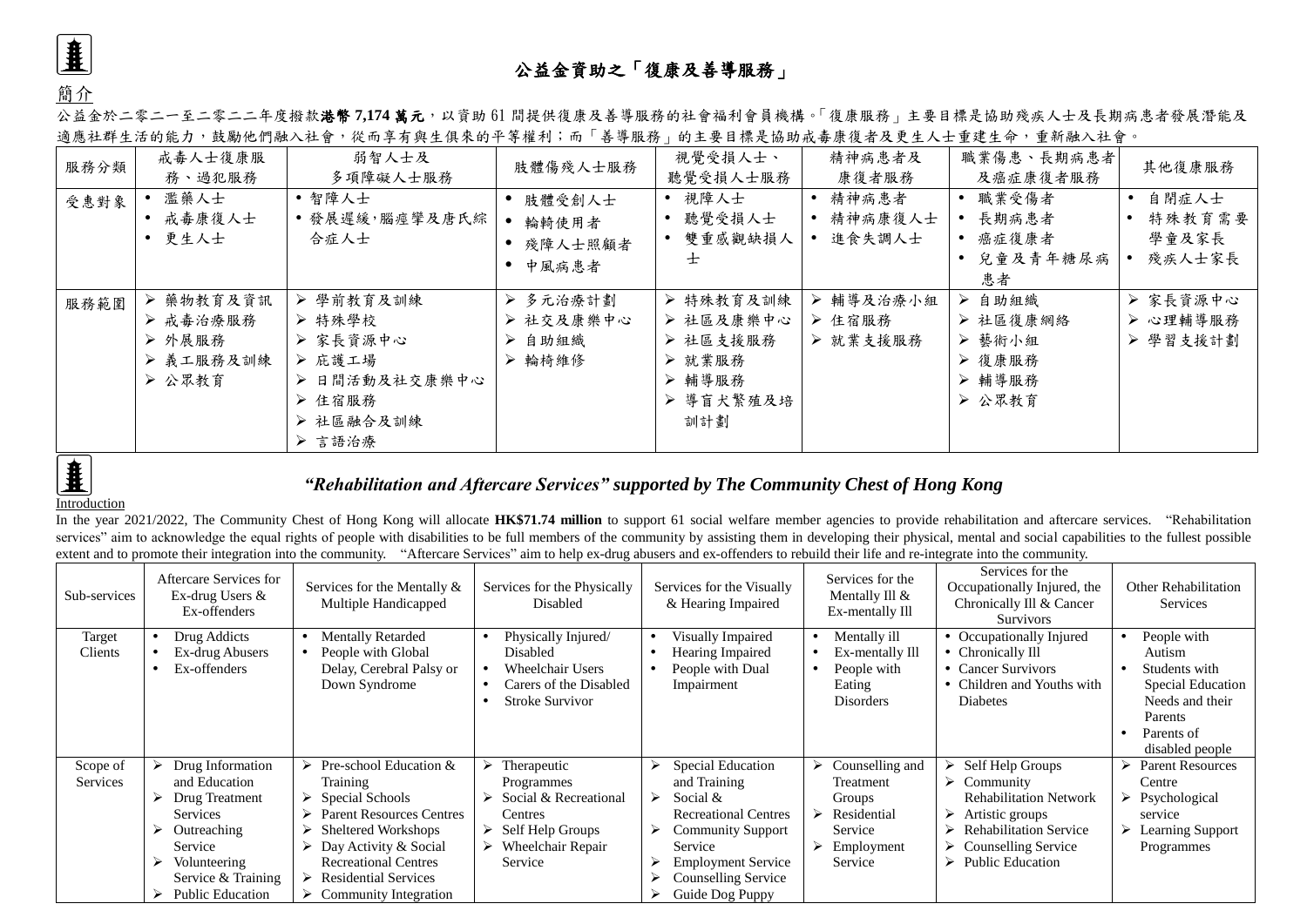

簡介

## 公益金資助之「復康及善導服務」

公益金於二零二一至二零二二年度撥款**港幣 7,174 萬元**,以資助 61 間提供復康及善導服務的社會福利會員機構。「復康服務」主要目標是協助殘疾人士及長期病患者發展潛能及 適應社群生活的能力,鼓勵他們融入社會,從而享有與生俱來的平等權利;而「善導服務」的主要目標是協助戒毒康復者及更生人士重建生命,重新融入社會。

| 服務分類 | 戒毒人士復康服<br>務、過犯服務                                      | 弱智人士及<br>多項障礙人士服務                                                                           | 肢體傷殘人士服務                                  | 視覺受損人士、<br>聽覺受損人士服務                                                        | 精神病患者及<br>康復者服務                  | 職業傷患、長期病患者<br>及癌症康復者服務                                        | 其他復康服務                             |
|------|--------------------------------------------------------|---------------------------------------------------------------------------------------------|-------------------------------------------|----------------------------------------------------------------------------|----------------------------------|---------------------------------------------------------------|------------------------------------|
| 受惠對象 | 濫藥人士<br>戒毒康復人士<br>• 更生人士                               | • 智障人士<br>• 發展遲緩,腦痙攣及唐氏綜<br>合症人士                                                            | 肢體受創人士<br>● 輪輢使用者<br>殘障人士照顧者<br>中風病患者     | • 視障人士<br>聽覺受損人士<br>雙重感觀缺損人<br>士                                           | • 精神病患者<br>• 精神病康復人士<br>• 進食失調人士 | • 職業受傷者<br>長期病患者<br>• 癌症復康者<br>兒童及青年糖尿病<br>患者                 | 自閉症人士<br>特殊教育需要<br>學童及家長<br>殘疾人士家長 |
| 服務範圍 | ▶ 藥物教育及資訊<br>▶ 戒毒治療服務<br>▶ 外展服務<br>> 義工服務及訓練<br>▶ 公眾教育 | ▶ 學前教育及訓練<br>▶ 特殊學校<br>▶ 家長資源中心<br>▶ 庇護工場<br>▶ 日間活動及社交康樂中心<br>▶ 住宿服務<br>> 社區融合及訓練<br>▶ 言語治療 | ▶ 多元治療計劃<br>▶ 社交及康樂中心<br>> 自助組織<br>▶ 輪椅維修 | ▶ 特殊教育及訓練<br>> 社區及康樂中心<br>▶ 社區支援服務<br>▶ 就業服務<br>▶ 輔導服務<br>> 導盲犬繁殖及培<br>訓計劃 | ▶ 輔導及治療小組<br>▶ 住宿服務<br>▶ 就業支援服務  | 自助組織<br>➤<br>▶ 社區復康網絡<br>> 藝術小組<br>▶ 復康服務<br>▶ 輔導服務<br>▶ 公眾教育 | ▶ 家長資源中心<br>> 心理輔導服務<br>> 學習支援計劃   |



## *"Rehabilitation and Aftercare Services" supported by The Community Chest of Hong Kong*

## Introduction

In the year 2021/2022, The Community Chest of Hong Kong will allocate **HK\$71.74 million** to support 61 social welfare member agencies to provide rehabilitation and aftercare services. "Rehabilitation services" aim to acknowledge the equal rights of people with disabilities to be full members of the community by assisting them in developing their physical, mental and social capabilities to the fullest possible extent and to promote their integration into the community. "Aftercare Services" aim to help ex-drug abusers and ex-offenders to rebuild their life and re-integrate into the community.

| Sub-services | Aftercare Services for<br>Ex-drug Users &<br>Ex-offenders | Services for the Mentally &<br>Multiple Handicapped | Services for the Physically<br>Disabled | Services for the Visually<br>& Hearing Impaired | Services for the<br>Mentally Ill &<br>Ex-mentally Ill | Services for the<br>Occupationally Injured, the<br>Chronically Ill & Cancer<br><b>Survivors</b> | Other Rehabilitation<br>Services |
|--------------|-----------------------------------------------------------|-----------------------------------------------------|-----------------------------------------|-------------------------------------------------|-------------------------------------------------------|-------------------------------------------------------------------------------------------------|----------------------------------|
| Target       | Drug Addicts                                              | <b>Mentally Retarded</b>                            | Physically Injured/                     | Visually Impaired                               | Mentally ill                                          | • Occupationally Injured                                                                        | People with                      |
| Clients      | Ex-drug Abusers                                           | People with Global                                  | Disabled                                | Hearing Impaired                                | Ex-mentally Ill                                       | Chronically Ill                                                                                 | Autism                           |
|              | Ex-offenders                                              | Delay, Cerebral Palsy or                            | <b>Wheelchair Users</b>                 | People with Dual                                | People with                                           | <b>Cancer Survivors</b>                                                                         | Students with                    |
|              |                                                           | Down Syndrome                                       | Carers of the Disabled                  | Impairment                                      | Eating                                                | Children and Youths with                                                                        | Special Education                |
|              |                                                           |                                                     | <b>Stroke Survivor</b>                  |                                                 | <b>Disorders</b>                                      | Diabetes                                                                                        | Needs and their                  |
|              |                                                           |                                                     |                                         |                                                 |                                                       |                                                                                                 | Parents                          |
|              |                                                           |                                                     |                                         |                                                 |                                                       |                                                                                                 | Parents of                       |
|              |                                                           |                                                     |                                         |                                                 |                                                       |                                                                                                 | disabled people                  |
| Scope of     | Drug Information                                          | Pre-school Education &                              | Therapeutic                             | Special Education<br>⋗                          | Counselling and                                       | Self Help Groups                                                                                | <b>Parent Resources</b>          |
| Services     | and Education                                             | Training                                            | Programmes                              | and Training                                    | Treatment                                             | $\triangleright$ Community                                                                      | Centre                           |
|              | Drug Treatment<br>➤                                       | Special Schools                                     | Social & Recreational                   | Social $&$<br>$\blacktriangleright$             | Groups                                                | <b>Rehabilitation Network</b>                                                                   | $\triangleright$ Psychological   |
|              | Services                                                  | <b>Parent Resources Centres</b>                     | Centres                                 | <b>Recreational Centres</b>                     | Residential                                           | Artistic groups                                                                                 | service                          |
|              | ⋗<br>Outreaching                                          | Sheltered Workshops                                 | $\triangleright$ Self Help Groups       | <b>Community Support</b>                        | Service                                               | <b>Rehabilitation Service</b>                                                                   | <b>Learning Support</b>          |
|              | Service                                                   | Day Activity & Social                               | Wheelchair Repair                       | Service                                         | Employment                                            | $\triangleright$ Counselling Service                                                            | Programmes                       |
|              | Volunteering<br>↘                                         | <b>Recreational Centres</b>                         | Service                                 | <b>Employment Service</b>                       | Service                                               | $\triangleright$ Public Education                                                               |                                  |
|              | Service & Training                                        | <b>Residential Services</b>                         |                                         | Counselling Service                             |                                                       |                                                                                                 |                                  |
|              | <b>Public Education</b><br>⋗                              | $\triangleright$ Community Integration              |                                         | Guide Dog Puppy                                 |                                                       |                                                                                                 |                                  |